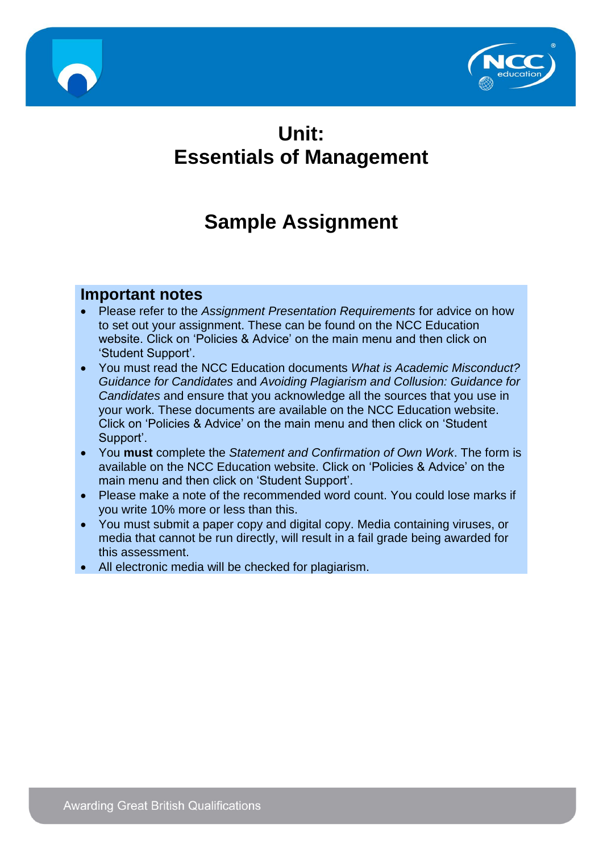



# **Unit: Essentials of Management**

# **Sample Assignment**

### **Important notes**

- Please refer to the *Assignment Presentation Requirements* for advice on how to set out your assignment. These can be found on the NCC Education website. Click on 'Policies & Advice' on the main menu and then click on 'Student Support'.
- You must read the NCC Education documents *What is Academic Misconduct? Guidance for Candidates* and *Avoiding Plagiarism and Collusion: Guidance for Candidates* and ensure that you acknowledge all the sources that you use in your work. These documents are available on the NCC Education website. Click on 'Policies & Advice' on the main menu and then click on 'Student Support'.
- You **must** complete the *Statement and Confirmation of Own Work*. The form is available on the NCC Education website. Click on 'Policies & Advice' on the main menu and then click on 'Student Support'.
- Please make a note of the recommended word count. You could lose marks if you write 10% more or less than this.
- You must submit a paper copy and digital copy. Media containing viruses, or media that cannot be run directly, will result in a fail grade being awarded for this assessment.
- All electronic media will be checked for plagiarism.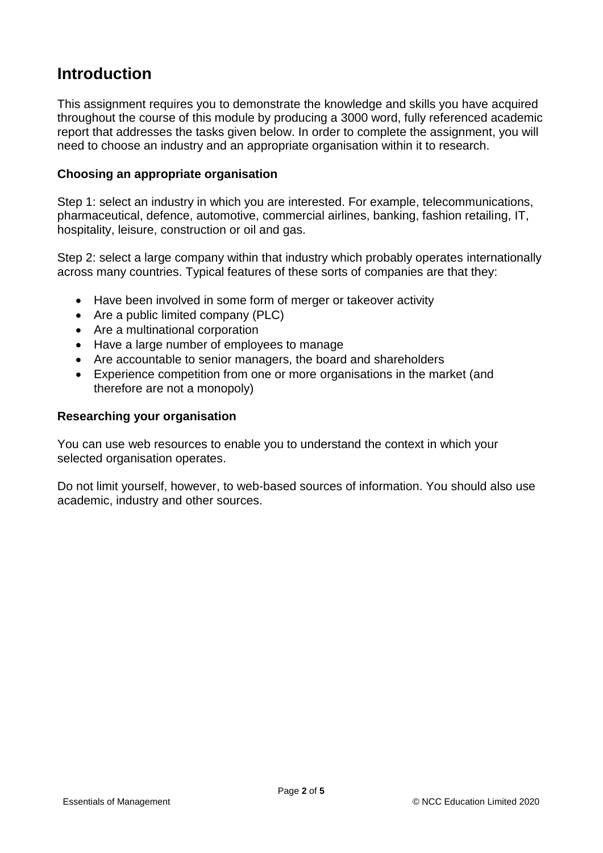## **Introduction**

This assignment requires you to demonstrate the knowledge and skills you have acquired throughout the course of this module by producing a 3000 word, fully referenced academic report that addresses the tasks given below. In order to complete the assignment, you will need to choose an industry and an appropriate organisation within it to research.

#### **Choosing an appropriate organisation**

Step 1: select an industry in which you are interested. For example, telecommunications, pharmaceutical, defence, automotive, commercial airlines, banking, fashion retailing, IT, hospitality, leisure, construction or oil and gas.

Step 2: select a large company within that industry which probably operates internationally across many countries. Typical features of these sorts of companies are that they:

- Have been involved in some form of merger or takeover activity
- Are a public limited company (PLC)
- Are a multinational corporation
- Have a large number of employees to manage
- Are accountable to senior managers, the board and shareholders
- Experience competition from one or more organisations in the market (and therefore are not a monopoly)

#### **Researching your organisation**

You can use web resources to enable you to understand the context in which your selected organisation operates.

Do not limit yourself, however, to web-based sources of information. You should also use academic, industry and other sources.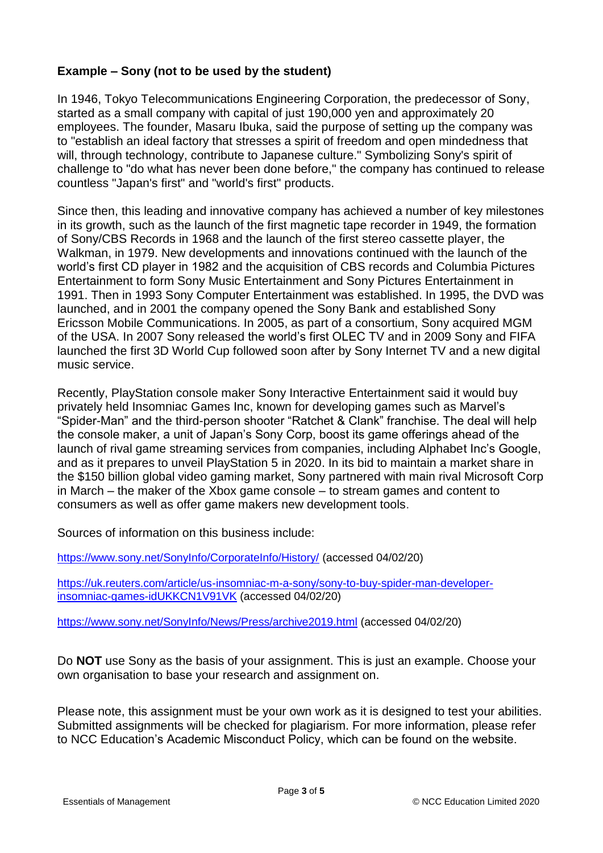#### **Example – Sony (not to be used by the student)**

In 1946, Tokyo Telecommunications Engineering Corporation, the predecessor of Sony, started as a small company with capital of just 190,000 yen and approximately 20 employees. The founder, Masaru Ibuka, said the purpose of setting up the company was to "establish an ideal factory that stresses a spirit of freedom and open mindedness that will, through technology, contribute to Japanese culture." Symbolizing Sony's spirit of challenge to "do what has never been done before," the company has continued to release countless "Japan's first" and "world's first" products.

Since then, this leading and innovative company has achieved a number of key milestones in its growth, such as the launch of the first magnetic tape recorder in 1949, the formation of Sony/CBS Records in 1968 and the launch of the first stereo cassette player, the Walkman, in 1979. New developments and innovations continued with the launch of the world's first CD player in 1982 and the acquisition of CBS records and Columbia Pictures Entertainment to form Sony Music Entertainment and Sony Pictures Entertainment in 1991. Then in 1993 Sony Computer Entertainment was established. In 1995, the DVD was launched, and in 2001 the company opened the Sony Bank and established Sony Ericsson Mobile Communications. In 2005, as part of a consortium, Sony acquired MGM of the USA. In 2007 Sony released the world's first OLEC TV and in 2009 Sony and FIFA launched the first 3D World Cup followed soon after by Sony Internet TV and a new digital music service.

Recently, PlayStation console maker Sony Interactive Entertainment said it would buy privately held Insomniac Games Inc, known for developing games such as Marvel's "Spider-Man" and the third-person shooter "Ratchet & Clank" franchise. The deal will help the console maker, a unit of Japan's Sony Corp, boost its game offerings ahead of the launch of rival game streaming services from companies, including Alphabet Inc's Google, and as it prepares to unveil PlayStation 5 in 2020. In its bid to maintain a market share in the \$150 billion global video gaming market, Sony partnered with main rival Microsoft Corp in March – the maker of the Xbox game console – to stream games and content to consumers as well as offer game makers new development tools.

Sources of information on this business include:

<https://www.sony.net/SonyInfo/CorporateInfo/History/> (accessed 04/02/20)

[https://uk.reuters.com/article/us-insomniac-m-a-sony/sony-to-buy-spider-man-developer](https://uk.reuters.com/article/us-insomniac-m-a-sony/sony-to-buy-spider-man-developer-insomniac-games-idUKKCN1V91VK)[insomniac-games-idUKKCN1V91VK](https://uk.reuters.com/article/us-insomniac-m-a-sony/sony-to-buy-spider-man-developer-insomniac-games-idUKKCN1V91VK) (accessed 04/02/20)

<https://www.sony.net/SonyInfo/News/Press/archive2019.html> (accessed 04/02/20)

Do **NOT** use Sony as the basis of your assignment. This is just an example. Choose your own organisation to base your research and assignment on.

Please note, this assignment must be your own work as it is designed to test your abilities. Submitted assignments will be checked for plagiarism. For more information, please refer to NCC Education's Academic Misconduct Policy, which can be found on the website.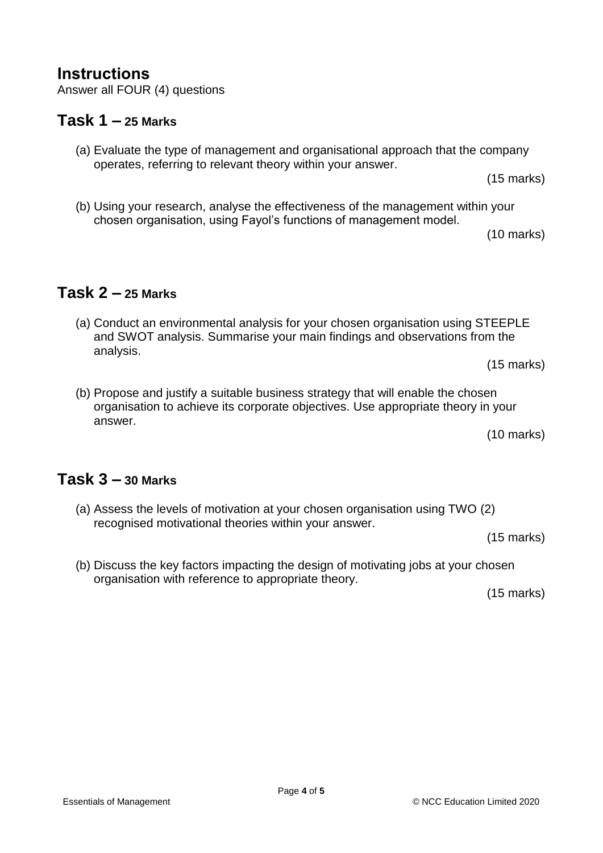## **Instructions**

Answer all FOUR (4) questions

#### **Task 1 – 25 Marks**

(a) Evaluate the type of management and organisational approach that the company operates, referring to relevant theory within your answer.

(15 marks)

(b) Using your research, analyse the effectiveness of the management within your chosen organisation, using Fayol's functions of management model.

(10 marks)

### **Task 2 – 25 Marks**

(a) Conduct an environmental analysis for your chosen organisation using STEEPLE and SWOT analysis. Summarise your main findings and observations from the analysis.

(15 marks)

(b) Propose and justify a suitable business strategy that will enable the chosen organisation to achieve its corporate objectives. Use appropriate theory in your answer.

(10 marks)

#### **Task 3 – 30 Marks**

(a) Assess the levels of motivation at your chosen organisation using TWO (2) recognised motivational theories within your answer.

(15 marks)

(b) Discuss the key factors impacting the design of motivating jobs at your chosen organisation with reference to appropriate theory.

(15 marks)